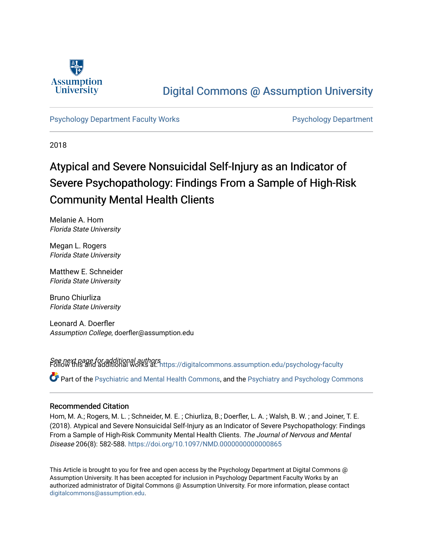

## [Digital Commons @ Assumption University](https://digitalcommons.assumption.edu/)

[Psychology Department Faculty Works](https://digitalcommons.assumption.edu/psychology-faculty) **Provides Accord Psychology Department** 

2018

# Atypical and Severe Nonsuicidal Self-Injury as an Indicator of Severe Psychopathology: Findings From a Sample of High-Risk Community Mental Health Clients

Melanie A. Hom Florida State University

Megan L. Rogers Florida State University

Matthew E. Schneider Florida State University

Bruno Chiurliza Florida State University

Leonard A. Doerfler Assumption College, doerfler@assumption.edu

See next page for additional authors Follow this and additional works at: [https://digitalcommons.assumption.edu/psychology-faculty](https://digitalcommons.assumption.edu/psychology-faculty?utm_source=digitalcommons.assumption.edu%2Fpsychology-faculty%2F12&utm_medium=PDF&utm_campaign=PDFCoverPages)  Part of the [Psychiatric and Mental Health Commons,](http://network.bepress.com/hgg/discipline/711?utm_source=digitalcommons.assumption.edu%2Fpsychology-faculty%2F12&utm_medium=PDF&utm_campaign=PDFCoverPages) and the [Psychiatry and Psychology Commons](http://network.bepress.com/hgg/discipline/908?utm_source=digitalcommons.assumption.edu%2Fpsychology-faculty%2F12&utm_medium=PDF&utm_campaign=PDFCoverPages)

### Recommended Citation

Hom, M. A.; Rogers, M. L. ; Schneider, M. E. ; Chiurliza, B.; Doerfler, L. A. ; Walsh, B. W. ; and Joiner, T. E. (2018). Atypical and Severe Nonsuicidal Self-Injury as an Indicator of Severe Psychopathology: Findings From a Sample of High-Risk Community Mental Health Clients. The Journal of Nervous and Mental Disease 206(8): 582-588. <https://doi.org/10.1097/NMD.0000000000000865>

This Article is brought to you for free and open access by the Psychology Department at Digital Commons @ Assumption University. It has been accepted for inclusion in Psychology Department Faculty Works by an authorized administrator of Digital Commons @ Assumption University. For more information, please contact [digitalcommons@assumption.edu](mailto:digitalcommons@assumption.edu).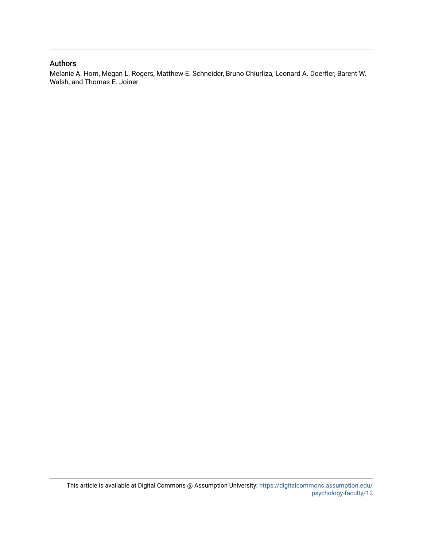#### Authors

Melanie A. Hom, Megan L. Rogers, Matthew E. Schneider, Bruno Chiurliza, Leonard A. Doerfler, Barent W. Walsh, and Thomas E. Joiner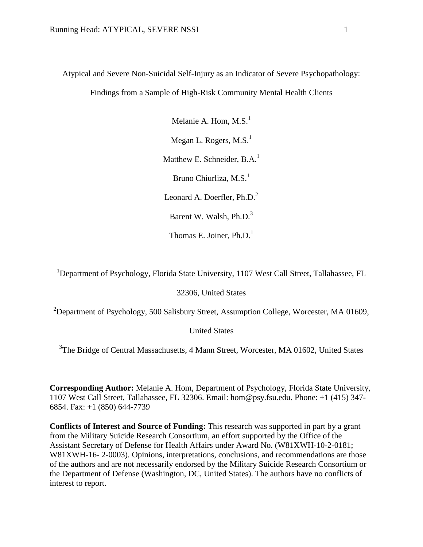Atypical and Severe Non-Suicidal Self-Injury as an Indicator of Severe Psychopathology:

Findings from a Sample of High-Risk Community Mental Health Clients

Melanie A. Hom,  $M.S.<sup>1</sup>$ Megan L. Rogers,  $M.S.<sup>1</sup>$ Matthew E. Schneider, B.A.<sup>1</sup> Bruno Chiurliza, M.S.<sup>1</sup> Leonard A. Doerfler,  $Ph.D.<sup>2</sup>$ Barent W. Walsh, Ph.D.<sup>3</sup> Thomas E. Joiner,  $Ph.D.<sup>1</sup>$ 

<sup>1</sup>Department of Psychology, Florida State University, 1107 West Call Street, Tallahassee, FL

32306, United States

<sup>2</sup>Department of Psychology, 500 Salisbury Street, Assumption College, Worcester, MA 01609,

United States

<sup>3</sup>The Bridge of Central Massachusetts, 4 Mann Street, Worcester, MA 01602, United States

**Corresponding Author:** Melanie A. Hom, Department of Psychology, Florida State University, 1107 West Call Street, Tallahassee, FL 32306. Email: hom@psy.fsu.edu. Phone: +1 (415) 347- 6854. Fax: +1 (850) 644-7739

**Conflicts of Interest and Source of Funding:** This research was supported in part by a grant from the Military Suicide Research Consortium, an effort supported by the Office of the Assistant Secretary of Defense for Health Affairs under Award No. (W81XWH-10-2-0181; W81XWH-16- 2-0003). Opinions, interpretations, conclusions, and recommendations are those of the authors and are not necessarily endorsed by the Military Suicide Research Consortium or the Department of Defense (Washington, DC, United States). The authors have no conflicts of interest to report.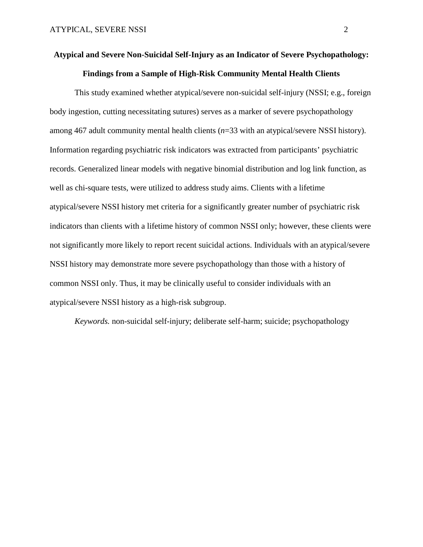## **Atypical and Severe Non-Suicidal Self-Injury as an Indicator of Severe Psychopathology: Findings from a Sample of High-Risk Community Mental Health Clients**

This study examined whether atypical/severe non-suicidal self-injury (NSSI; e.g., foreign body ingestion, cutting necessitating sutures) serves as a marker of severe psychopathology among 467 adult community mental health clients (*n*=33 with an atypical/severe NSSI history). Information regarding psychiatric risk indicators was extracted from participants' psychiatric records. Generalized linear models with negative binomial distribution and log link function, as well as chi-square tests, were utilized to address study aims. Clients with a lifetime atypical/severe NSSI history met criteria for a significantly greater number of psychiatric risk indicators than clients with a lifetime history of common NSSI only; however, these clients were not significantly more likely to report recent suicidal actions. Individuals with an atypical/severe NSSI history may demonstrate more severe psychopathology than those with a history of common NSSI only. Thus, it may be clinically useful to consider individuals with an atypical/severe NSSI history as a high-risk subgroup.

*Keywords.* non-suicidal self-injury; deliberate self-harm; suicide; psychopathology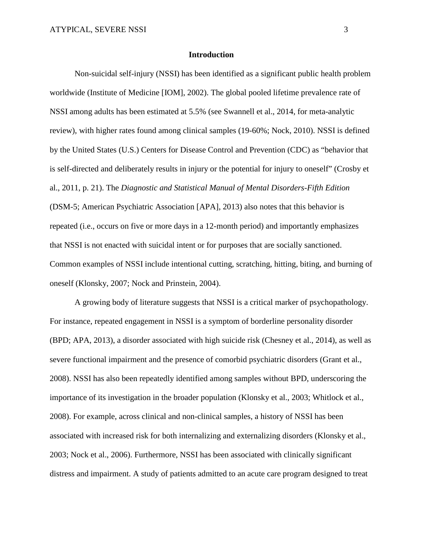#### **Introduction**

Non-suicidal self-injury (NSSI) has been identified as a significant public health problem worldwide (Institute of Medicine [IOM], 2002). The global pooled lifetime prevalence rate of NSSI among adults has been estimated at 5.5% (see Swannell et al., 2014, for meta-analytic review), with higher rates found among clinical samples (19-60%; Nock, 2010). NSSI is defined by the United States (U.S.) Centers for Disease Control and Prevention (CDC) as "behavior that is self-directed and deliberately results in injury or the potential for injury to oneself" (Crosby et al., 2011, p. 21). The *Diagnostic and Statistical Manual of Mental Disorders-Fifth Edition* (DSM-5; American Psychiatric Association [APA], 2013) also notes that this behavior is repeated (i.e., occurs on five or more days in a 12-month period) and importantly emphasizes that NSSI is not enacted with suicidal intent or for purposes that are socially sanctioned. Common examples of NSSI include intentional cutting, scratching, hitting, biting, and burning of oneself (Klonsky, 2007; Nock and Prinstein, 2004).

A growing body of literature suggests that NSSI is a critical marker of psychopathology. For instance, repeated engagement in NSSI is a symptom of borderline personality disorder (BPD; APA, 2013), a disorder associated with high suicide risk (Chesney et al., 2014), as well as severe functional impairment and the presence of comorbid psychiatric disorders (Grant et al., 2008). NSSI has also been repeatedly identified among samples without BPD, underscoring the importance of its investigation in the broader population (Klonsky et al., 2003; Whitlock et al., 2008). For example, across clinical and non-clinical samples, a history of NSSI has been associated with increased risk for both internalizing and externalizing disorders (Klonsky et al., 2003; Nock et al., 2006). Furthermore, NSSI has been associated with clinically significant distress and impairment. A study of patients admitted to an acute care program designed to treat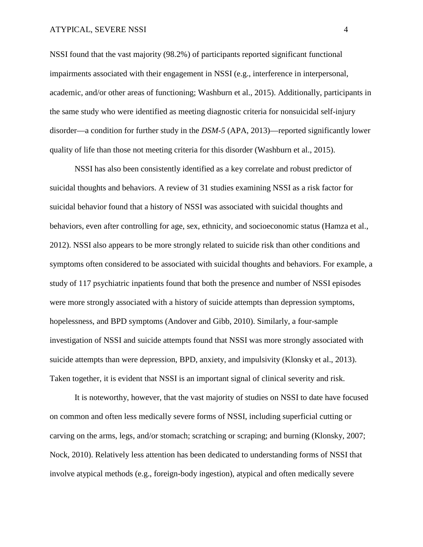#### ATYPICAL, SEVERE NSSI 4

NSSI found that the vast majority (98.2%) of participants reported significant functional impairments associated with their engagement in NSSI (e.g., interference in interpersonal, academic, and/or other areas of functioning; Washburn et al., 2015). Additionally, participants in the same study who were identified as meeting diagnostic criteria for nonsuicidal self-injury disorder—a condition for further study in the *DSM*-*5* (APA, 2013)—reported significantly lower quality of life than those not meeting criteria for this disorder (Washburn et al., 2015).

NSSI has also been consistently identified as a key correlate and robust predictor of suicidal thoughts and behaviors. A review of 31 studies examining NSSI as a risk factor for suicidal behavior found that a history of NSSI was associated with suicidal thoughts and behaviors, even after controlling for age, sex, ethnicity, and socioeconomic status (Hamza et al., 2012). NSSI also appears to be more strongly related to suicide risk than other conditions and symptoms often considered to be associated with suicidal thoughts and behaviors. For example, a study of 117 psychiatric inpatients found that both the presence and number of NSSI episodes were more strongly associated with a history of suicide attempts than depression symptoms, hopelessness, and BPD symptoms (Andover and Gibb, 2010). Similarly, a four-sample investigation of NSSI and suicide attempts found that NSSI was more strongly associated with suicide attempts than were depression, BPD, anxiety, and impulsivity (Klonsky et al., 2013). Taken together, it is evident that NSSI is an important signal of clinical severity and risk.

It is noteworthy, however, that the vast majority of studies on NSSI to date have focused on common and often less medically severe forms of NSSI, including superficial cutting or carving on the arms, legs, and/or stomach; scratching or scraping; and burning (Klonsky, 2007; Nock, 2010). Relatively less attention has been dedicated to understanding forms of NSSI that involve atypical methods (e.g., foreign-body ingestion), atypical and often medically severe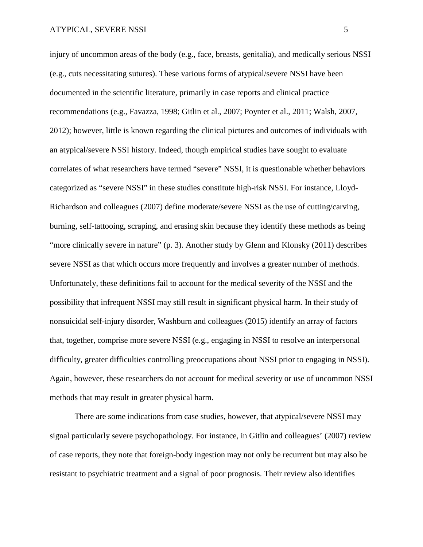injury of uncommon areas of the body (e.g., face, breasts, genitalia), and medically serious NSSI (e.g., cuts necessitating sutures). These various forms of atypical/severe NSSI have been documented in the scientific literature, primarily in case reports and clinical practice recommendations (e.g., Favazza, 1998; Gitlin et al., 2007; Poynter et al., 2011; Walsh, 2007, 2012); however, little is known regarding the clinical pictures and outcomes of individuals with an atypical/severe NSSI history. Indeed, though empirical studies have sought to evaluate correlates of what researchers have termed "severe" NSSI, it is questionable whether behaviors categorized as "severe NSSI" in these studies constitute high-risk NSSI. For instance, Lloyd-Richardson and colleagues (2007) define moderate/severe NSSI as the use of cutting/carving, burning, self-tattooing, scraping, and erasing skin because they identify these methods as being "more clinically severe in nature" (p. 3). Another study by Glenn and Klonsky (2011) describes severe NSSI as that which occurs more frequently and involves a greater number of methods. Unfortunately, these definitions fail to account for the medical severity of the NSSI and the possibility that infrequent NSSI may still result in significant physical harm. In their study of nonsuicidal self-injury disorder, Washburn and colleagues (2015) identify an array of factors that, together, comprise more severe NSSI (e.g., engaging in NSSI to resolve an interpersonal difficulty, greater difficulties controlling preoccupations about NSSI prior to engaging in NSSI). Again, however, these researchers do not account for medical severity or use of uncommon NSSI methods that may result in greater physical harm.

There are some indications from case studies, however, that atypical/severe NSSI may signal particularly severe psychopathology. For instance, in Gitlin and colleagues' (2007) review of case reports, they note that foreign-body ingestion may not only be recurrent but may also be resistant to psychiatric treatment and a signal of poor prognosis. Their review also identifies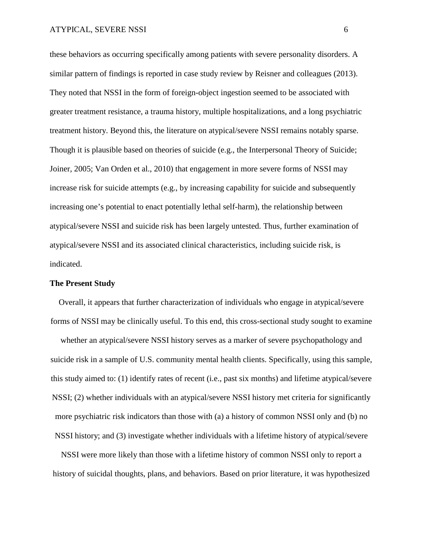these behaviors as occurring specifically among patients with severe personality disorders. A similar pattern of findings is reported in case study review by Reisner and colleagues (2013). They noted that NSSI in the form of foreign-object ingestion seemed to be associated with greater treatment resistance, a trauma history, multiple hospitalizations, and a long psychiatric treatment history. Beyond this, the literature on atypical/severe NSSI remains notably sparse. Though it is plausible based on theories of suicide (e.g., the Interpersonal Theory of Suicide; Joiner, 2005; Van Orden et al., 2010) that engagement in more severe forms of NSSI may increase risk for suicide attempts (e.g., by increasing capability for suicide and subsequently increasing one's potential to enact potentially lethal self-harm), the relationship between atypical/severe NSSI and suicide risk has been largely untested. Thus, further examination of atypical/severe NSSI and its associated clinical characteristics, including suicide risk, is indicated.

#### **The Present Study**

Overall, it appears that further characterization of individuals who engage in atypical/severe forms of NSSI may be clinically useful. To this end, this cross-sectional study sought to examine whether an atypical/severe NSSI history serves as a marker of severe psychopathology and suicide risk in a sample of U.S. community mental health clients. Specifically, using this sample, this study aimed to: (1) identify rates of recent (i.e., past six months) and lifetime atypical/severe NSSI; (2) whether individuals with an atypical/severe NSSI history met criteria for significantly more psychiatric risk indicators than those with (a) a history of common NSSI only and (b) no NSSI history; and (3) investigate whether individuals with a lifetime history of atypical/severe

NSSI were more likely than those with a lifetime history of common NSSI only to report a history of suicidal thoughts, plans, and behaviors. Based on prior literature, it was hypothesized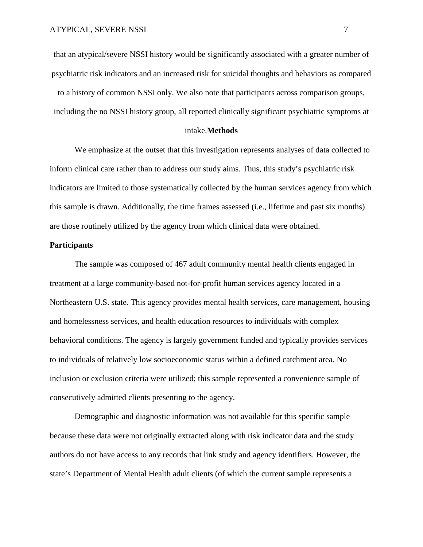that an atypical/severe NSSI history would be significantly associated with a greater number of psychiatric risk indicators and an increased risk for suicidal thoughts and behaviors as compared to a history of common NSSI only. We also note that participants across comparison groups, including the no NSSI history group, all reported clinically significant psychiatric symptoms at

#### intake.**Methods**

We emphasize at the outset that this investigation represents analyses of data collected to inform clinical care rather than to address our study aims. Thus, this study's psychiatric risk indicators are limited to those systematically collected by the human services agency from which this sample is drawn. Additionally, the time frames assessed (i.e., lifetime and past six months) are those routinely utilized by the agency from which clinical data were obtained.

#### **Participants**

The sample was composed of 467 adult community mental health clients engaged in treatment at a large community-based not-for-profit human services agency located in a Northeastern U.S. state. This agency provides mental health services, care management, housing and homelessness services, and health education resources to individuals with complex behavioral conditions. The agency is largely government funded and typically provides services to individuals of relatively low socioeconomic status within a defined catchment area. No inclusion or exclusion criteria were utilized; this sample represented a convenience sample of consecutively admitted clients presenting to the agency.

Demographic and diagnostic information was not available for this specific sample because these data were not originally extracted along with risk indicator data and the study authors do not have access to any records that link study and agency identifiers. However, the state's Department of Mental Health adult clients (of which the current sample represents a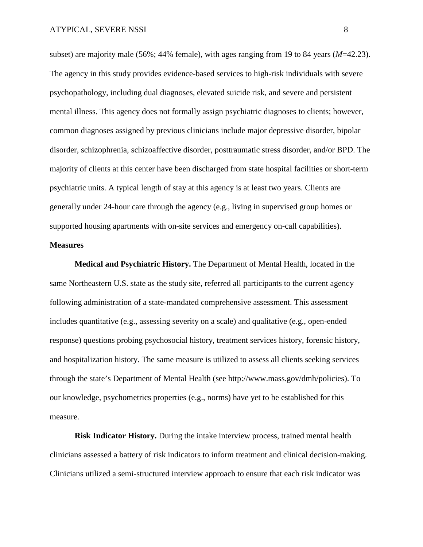subset) are majority male (56%; 44% female), with ages ranging from 19 to 84 years (*M*=42.23). The agency in this study provides evidence-based services to high-risk individuals with severe psychopathology, including dual diagnoses, elevated suicide risk, and severe and persistent mental illness. This agency does not formally assign psychiatric diagnoses to clients; however, common diagnoses assigned by previous clinicians include major depressive disorder, bipolar disorder, schizophrenia, schizoaffective disorder, posttraumatic stress disorder, and/or BPD. The majority of clients at this center have been discharged from state hospital facilities or short-term psychiatric units. A typical length of stay at this agency is at least two years. Clients are generally under 24-hour care through the agency (e.g., living in supervised group homes or supported housing apartments with on-site services and emergency on-call capabilities).

#### **Measures**

**Medical and Psychiatric History.** The Department of Mental Health, located in the same Northeastern U.S. state as the study site, referred all participants to the current agency following administration of a state-mandated comprehensive assessment. This assessment includes quantitative (e.g., assessing severity on a scale) and qualitative (e.g., open-ended response) questions probing psychosocial history, treatment services history, forensic history, and hospitalization history. The same measure is utilized to assess all clients seeking services through the state's Department of Mental Health (see http://www.mass.gov/dmh/policies). To our knowledge, psychometrics properties (e.g., norms) have yet to be established for this measure.

**Risk Indicator History.** During the intake interview process, trained mental health clinicians assessed a battery of risk indicators to inform treatment and clinical decision-making. Clinicians utilized a semi-structured interview approach to ensure that each risk indicator was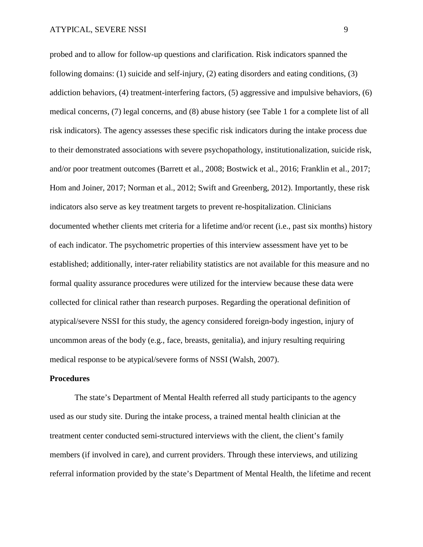probed and to allow for follow-up questions and clarification. Risk indicators spanned the following domains: (1) suicide and self-injury, (2) eating disorders and eating conditions, (3) addiction behaviors, (4) treatment-interfering factors, (5) aggressive and impulsive behaviors, (6) medical concerns, (7) legal concerns, and (8) abuse history (see Table 1 for a complete list of all risk indicators). The agency assesses these specific risk indicators during the intake process due to their demonstrated associations with severe psychopathology, institutionalization, suicide risk, and/or poor treatment outcomes (Barrett et al., 2008; Bostwick et al., 2016; Franklin et al., 2017; Hom and Joiner, 2017; Norman et al., 2012; Swift and Greenberg, 2012). Importantly, these risk indicators also serve as key treatment targets to prevent re-hospitalization. Clinicians documented whether clients met criteria for a lifetime and/or recent (i.e., past six months) history of each indicator. The psychometric properties of this interview assessment have yet to be established; additionally, inter-rater reliability statistics are not available for this measure and no formal quality assurance procedures were utilized for the interview because these data were collected for clinical rather than research purposes. Regarding the operational definition of atypical/severe NSSI for this study, the agency considered foreign-body ingestion, injury of uncommon areas of the body (e.g., face, breasts, genitalia), and injury resulting requiring medical response to be atypical/severe forms of NSSI (Walsh, 2007).

#### **Procedures**

The state's Department of Mental Health referred all study participants to the agency used as our study site. During the intake process, a trained mental health clinician at the treatment center conducted semi-structured interviews with the client, the client's family members (if involved in care), and current providers. Through these interviews, and utilizing referral information provided by the state's Department of Mental Health, the lifetime and recent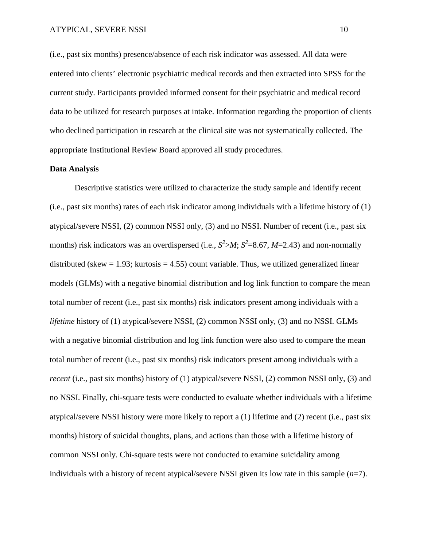(i.e., past six months) presence/absence of each risk indicator was assessed. All data were entered into clients' electronic psychiatric medical records and then extracted into SPSS for the current study. Participants provided informed consent for their psychiatric and medical record data to be utilized for research purposes at intake. Information regarding the proportion of clients who declined participation in research at the clinical site was not systematically collected. The appropriate Institutional Review Board approved all study procedures.

#### **Data Analysis**

Descriptive statistics were utilized to characterize the study sample and identify recent (i.e., past six months) rates of each risk indicator among individuals with a lifetime history of (1) atypical/severe NSSI, (2) common NSSI only, (3) and no NSSI. Number of recent (i.e., past six months) risk indicators was an overdispersed (i.e.,  $S^2 > M$ ;  $S^2 = 8.67$ ,  $M = 2.43$ ) and non-normally distributed (skew  $= 1.93$ ; kurtosis  $= 4.55$ ) count variable. Thus, we utilized generalized linear models (GLMs) with a negative binomial distribution and log link function to compare the mean total number of recent (i.e., past six months) risk indicators present among individuals with a *lifetime* history of (1) atypical/severe NSSI, (2) common NSSI only, (3) and no NSSI. GLMs with a negative binomial distribution and log link function were also used to compare the mean total number of recent (i.e., past six months) risk indicators present among individuals with a *recent* (i.e., past six months) history of (1) atypical/severe NSSI, (2) common NSSI only, (3) and no NSSI. Finally, chi-square tests were conducted to evaluate whether individuals with a lifetime atypical/severe NSSI history were more likely to report a (1) lifetime and (2) recent (i.e., past six months) history of suicidal thoughts, plans, and actions than those with a lifetime history of common NSSI only. Chi-square tests were not conducted to examine suicidality among individuals with a history of recent atypical/severe NSSI given its low rate in this sample (*n*=7).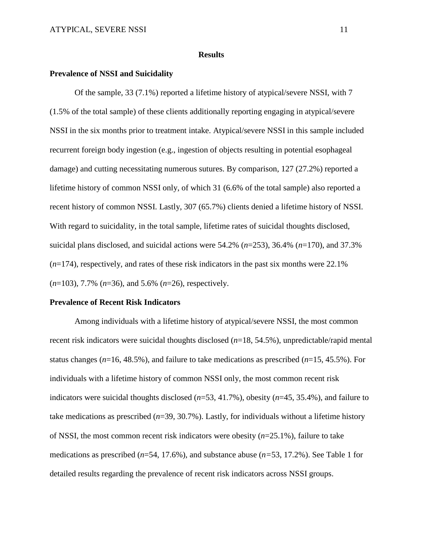#### **Results**

#### **Prevalence of NSSI and Suicidality**

Of the sample, 33 (7.1%) reported a lifetime history of atypical/severe NSSI, with 7 (1.5% of the total sample) of these clients additionally reporting engaging in atypical/severe NSSI in the six months prior to treatment intake. Atypical/severe NSSI in this sample included recurrent foreign body ingestion (e.g., ingestion of objects resulting in potential esophageal damage) and cutting necessitating numerous sutures. By comparison, 127 (27.2%) reported a lifetime history of common NSSI only, of which 31 (6.6% of the total sample) also reported a recent history of common NSSI. Lastly, 307 (65.7%) clients denied a lifetime history of NSSI. With regard to suicidality, in the total sample, lifetime rates of suicidal thoughts disclosed, suicidal plans disclosed, and suicidal actions were 54.2% (*n*=253), 36.4% (*n*=170), and 37.3% (*n*=174), respectively, and rates of these risk indicators in the past six months were 22.1% (*n*=103), 7.7% (*n*=36), and 5.6% (*n*=26), respectively.

#### **Prevalence of Recent Risk Indicators**

Among individuals with a lifetime history of atypical/severe NSSI, the most common recent risk indicators were suicidal thoughts disclosed (*n*=18, 54.5%), unpredictable/rapid mental status changes (*n*=16, 48.5%), and failure to take medications as prescribed (*n*=15, 45.5%). For individuals with a lifetime history of common NSSI only, the most common recent risk indicators were suicidal thoughts disclosed (*n*=53, 41.7%), obesity (*n*=45, 35.4%), and failure to take medications as prescribed (*n*=39, 30.7%). Lastly, for individuals without a lifetime history of NSSI, the most common recent risk indicators were obesity (*n*=25.1%), failure to take medications as prescribed (*n*=54, 17.6%), and substance abuse (*n=*53, 17.2%). See Table 1 for detailed results regarding the prevalence of recent risk indicators across NSSI groups.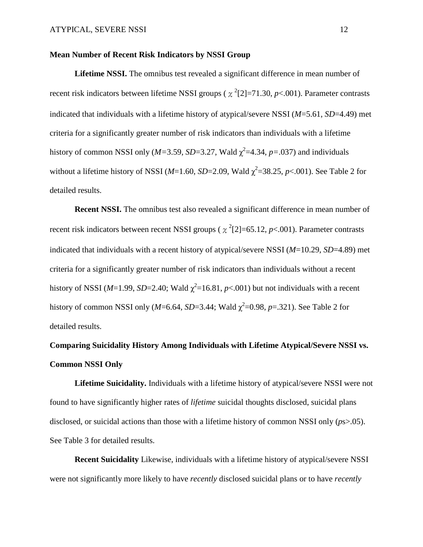#### **Mean Number of Recent Risk Indicators by NSSI Group**

**Lifetime NSSI.** The omnibus test revealed a significant difference in mean number of recent risk indicators between lifetime NSSI groups ( $\chi^2$ [2]=71.30, *p*<.001). Parameter contrasts indicated that individuals with a lifetime history of atypical/severe NSSI (*M*=5.61, *SD*=4.49) met criteria for a significantly greater number of risk indicators than individuals with a lifetime history of common NSSI only ( $M=3.59$ ,  $SD=3.27$ , Wald  $\chi^2=4.34$ ,  $p=.037$ ) and individuals without a lifetime history of NSSI ( $M=1.60$ ,  $SD=2.09$ , Wald  $\chi^2=38.25$ ,  $p<0.01$ ). See Table 2 for detailed results.

**Recent NSSI.** The omnibus test also revealed a significant difference in mean number of recent risk indicators between recent NSSI groups ( $\chi^2$ [2]=65.12, *p*<.001). Parameter contrasts indicated that individuals with a recent history of atypical/severe NSSI (*M*=10.29, *SD*=4.89) met criteria for a significantly greater number of risk indicators than individuals without a recent history of NSSI ( $M=1.99$ ,  $SD=2.40$ ; Wald  $\chi^2=16.81$ ,  $p<0.01$ ) but not individuals with a recent history of common NSSI only ( $M=6.64$ ,  $SD=3.44$ ; Wald  $\chi^2=0.98$ ,  $p=.321$ ). See Table 2 for detailed results.

## **Comparing Suicidality History Among Individuals with Lifetime Atypical/Severe NSSI vs. Common NSSI Only**

**Lifetime Suicidality.** Individuals with a lifetime history of atypical/severe NSSI were not found to have significantly higher rates of *lifetime* suicidal thoughts disclosed, suicidal plans disclosed, or suicidal actions than those with a lifetime history of common NSSI only (*p*s>.05). See Table 3 for detailed results.

**Recent Suicidality** Likewise, individuals with a lifetime history of atypical/severe NSSI were not significantly more likely to have *recently* disclosed suicidal plans or to have *recently*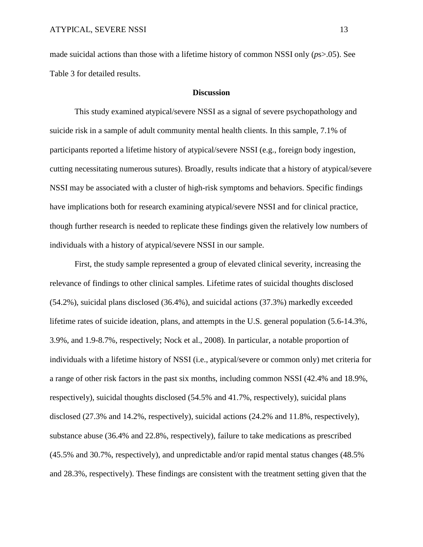made suicidal actions than those with a lifetime history of common NSSI only (*p*s>.05). See Table 3 for detailed results.

#### **Discussion**

This study examined atypical/severe NSSI as a signal of severe psychopathology and suicide risk in a sample of adult community mental health clients. In this sample, 7.1% of participants reported a lifetime history of atypical/severe NSSI (e.g., foreign body ingestion, cutting necessitating numerous sutures). Broadly, results indicate that a history of atypical/severe NSSI may be associated with a cluster of high-risk symptoms and behaviors. Specific findings have implications both for research examining atypical/severe NSSI and for clinical practice, though further research is needed to replicate these findings given the relatively low numbers of individuals with a history of atypical/severe NSSI in our sample.

First, the study sample represented a group of elevated clinical severity, increasing the relevance of findings to other clinical samples. Lifetime rates of suicidal thoughts disclosed (54.2%), suicidal plans disclosed (36.4%), and suicidal actions (37.3%) markedly exceeded lifetime rates of suicide ideation, plans, and attempts in the U.S. general population (5.6-14.3%, 3.9%, and 1.9-8.7%, respectively; Nock et al., 2008). In particular, a notable proportion of individuals with a lifetime history of NSSI (i.e., atypical/severe or common only) met criteria for a range of other risk factors in the past six months, including common NSSI (42.4% and 18.9%, respectively), suicidal thoughts disclosed (54.5% and 41.7%, respectively), suicidal plans disclosed (27.3% and 14.2%, respectively), suicidal actions (24.2% and 11.8%, respectively), substance abuse (36.4% and 22.8%, respectively), failure to take medications as prescribed (45.5% and 30.7%, respectively), and unpredictable and/or rapid mental status changes (48.5% and 28.3%, respectively). These findings are consistent with the treatment setting given that the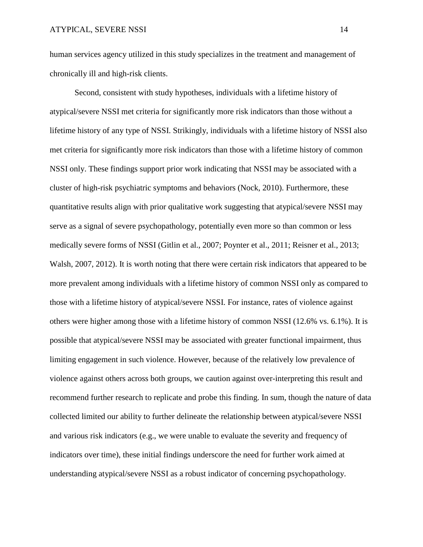human services agency utilized in this study specializes in the treatment and management of chronically ill and high-risk clients.

Second, consistent with study hypotheses, individuals with a lifetime history of atypical/severe NSSI met criteria for significantly more risk indicators than those without a lifetime history of any type of NSSI. Strikingly, individuals with a lifetime history of NSSI also met criteria for significantly more risk indicators than those with a lifetime history of common NSSI only. These findings support prior work indicating that NSSI may be associated with a cluster of high-risk psychiatric symptoms and behaviors (Nock, 2010). Furthermore, these quantitative results align with prior qualitative work suggesting that atypical/severe NSSI may serve as a signal of severe psychopathology, potentially even more so than common or less medically severe forms of NSSI (Gitlin et al., 2007; Poynter et al., 2011; Reisner et al., 2013; Walsh, 2007, 2012). It is worth noting that there were certain risk indicators that appeared to be more prevalent among individuals with a lifetime history of common NSSI only as compared to those with a lifetime history of atypical/severe NSSI. For instance, rates of violence against others were higher among those with a lifetime history of common NSSI (12.6% vs. 6.1%). It is possible that atypical/severe NSSI may be associated with greater functional impairment, thus limiting engagement in such violence. However, because of the relatively low prevalence of violence against others across both groups, we caution against over-interpreting this result and recommend further research to replicate and probe this finding. In sum, though the nature of data collected limited our ability to further delineate the relationship between atypical/severe NSSI and various risk indicators (e.g., we were unable to evaluate the severity and frequency of indicators over time), these initial findings underscore the need for further work aimed at understanding atypical/severe NSSI as a robust indicator of concerning psychopathology.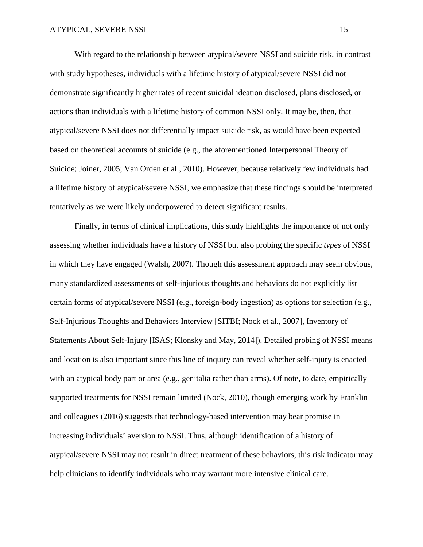With regard to the relationship between atypical/severe NSSI and suicide risk, in contrast with study hypotheses, individuals with a lifetime history of atypical/severe NSSI did not demonstrate significantly higher rates of recent suicidal ideation disclosed, plans disclosed, or actions than individuals with a lifetime history of common NSSI only. It may be, then, that atypical/severe NSSI does not differentially impact suicide risk, as would have been expected based on theoretical accounts of suicide (e.g., the aforementioned Interpersonal Theory of Suicide; Joiner, 2005; Van Orden et al., 2010). However, because relatively few individuals had a lifetime history of atypical/severe NSSI, we emphasize that these findings should be interpreted tentatively as we were likely underpowered to detect significant results.

Finally, in terms of clinical implications, this study highlights the importance of not only assessing whether individuals have a history of NSSI but also probing the specific *types* of NSSI in which they have engaged (Walsh, 2007). Though this assessment approach may seem obvious, many standardized assessments of self-injurious thoughts and behaviors do not explicitly list certain forms of atypical/severe NSSI (e.g., foreign-body ingestion) as options for selection (e.g., Self-Injurious Thoughts and Behaviors Interview [SITBI; Nock et al., 2007], Inventory of Statements About Self-Injury [ISAS; Klonsky and May, 2014]). Detailed probing of NSSI means and location is also important since this line of inquiry can reveal whether self-injury is enacted with an atypical body part or area (e.g., genitalia rather than arms). Of note, to date, empirically supported treatments for NSSI remain limited (Nock, 2010), though emerging work by Franklin and colleagues (2016) suggests that technology-based intervention may bear promise in increasing individuals' aversion to NSSI. Thus, although identification of a history of atypical/severe NSSI may not result in direct treatment of these behaviors, this risk indicator may help clinicians to identify individuals who may warrant more intensive clinical care.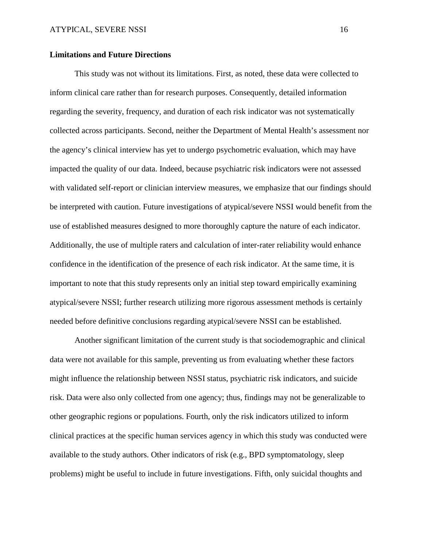#### **Limitations and Future Directions**

This study was not without its limitations. First, as noted, these data were collected to inform clinical care rather than for research purposes. Consequently, detailed information regarding the severity, frequency, and duration of each risk indicator was not systematically collected across participants. Second, neither the Department of Mental Health's assessment nor the agency's clinical interview has yet to undergo psychometric evaluation, which may have impacted the quality of our data. Indeed, because psychiatric risk indicators were not assessed with validated self-report or clinician interview measures, we emphasize that our findings should be interpreted with caution. Future investigations of atypical/severe NSSI would benefit from the use of established measures designed to more thoroughly capture the nature of each indicator. Additionally, the use of multiple raters and calculation of inter-rater reliability would enhance confidence in the identification of the presence of each risk indicator. At the same time, it is important to note that this study represents only an initial step toward empirically examining atypical/severe NSSI; further research utilizing more rigorous assessment methods is certainly needed before definitive conclusions regarding atypical/severe NSSI can be established.

Another significant limitation of the current study is that sociodemographic and clinical data were not available for this sample, preventing us from evaluating whether these factors might influence the relationship between NSSI status, psychiatric risk indicators, and suicide risk. Data were also only collected from one agency; thus, findings may not be generalizable to other geographic regions or populations. Fourth, only the risk indicators utilized to inform clinical practices at the specific human services agency in which this study was conducted were available to the study authors. Other indicators of risk (e.g., BPD symptomatology, sleep problems) might be useful to include in future investigations. Fifth, only suicidal thoughts and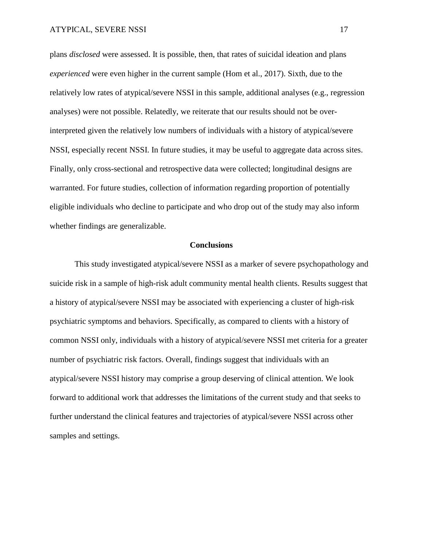plans *disclosed* were assessed. It is possible, then, that rates of suicidal ideation and plans *experienced* were even higher in the current sample (Hom et al., 2017). Sixth, due to the relatively low rates of atypical/severe NSSI in this sample, additional analyses (e.g., regression analyses) were not possible. Relatedly, we reiterate that our results should not be overinterpreted given the relatively low numbers of individuals with a history of atypical/severe NSSI, especially recent NSSI. In future studies, it may be useful to aggregate data across sites. Finally, only cross-sectional and retrospective data were collected; longitudinal designs are warranted. For future studies, collection of information regarding proportion of potentially eligible individuals who decline to participate and who drop out of the study may also inform whether findings are generalizable.

#### **Conclusions**

This study investigated atypical/severe NSSI as a marker of severe psychopathology and suicide risk in a sample of high-risk adult community mental health clients. Results suggest that a history of atypical/severe NSSI may be associated with experiencing a cluster of high-risk psychiatric symptoms and behaviors. Specifically, as compared to clients with a history of common NSSI only, individuals with a history of atypical/severe NSSI met criteria for a greater number of psychiatric risk factors. Overall, findings suggest that individuals with an atypical/severe NSSI history may comprise a group deserving of clinical attention. We look forward to additional work that addresses the limitations of the current study and that seeks to further understand the clinical features and trajectories of atypical/severe NSSI across other samples and settings.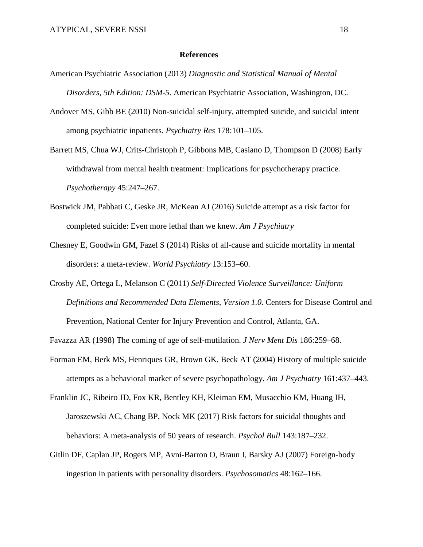#### **References**

- American Psychiatric Association (2013) *Diagnostic and Statistical Manual of Mental Disorders, 5th Edition: DSM-5*. American Psychiatric Association, Washington, DC.
- Andover MS, Gibb BE (2010) Non-suicidal self-injury, attempted suicide, and suicidal intent among psychiatric inpatients. *Psychiatry Res* 178:101–105.
- Barrett MS, Chua WJ, Crits-Christoph P, Gibbons MB, Casiano D, Thompson D (2008) Early withdrawal from mental health treatment: Implications for psychotherapy practice. *Psychotherapy* 45:247–267.
- Bostwick JM, Pabbati C, Geske JR, McKean AJ (2016) Suicide attempt as a risk factor for completed suicide: Even more lethal than we knew. *Am J Psychiatry*
- Chesney E, Goodwin GM, Fazel S (2014) Risks of all-cause and suicide mortality in mental disorders: a meta-review. *World Psychiatry* 13:153–60.
- Crosby AE, Ortega L, Melanson C (2011) *Self-Directed Violence Surveillance: Uniform Definitions and Recommended Data Elements, Version 1.0.* Centers for Disease Control and Prevention, National Center for Injury Prevention and Control, Atlanta, GA.
- Favazza AR (1998) The coming of age of self-mutilation. *J Nerv Ment Dis* 186:259–68.
- Forman EM, Berk MS, Henriques GR, Brown GK, Beck AT (2004) History of multiple suicide attempts as a behavioral marker of severe psychopathology. *Am J Psychiatry* 161:437–443.
- Franklin JC, Ribeiro JD, Fox KR, Bentley KH, Kleiman EM, Musacchio KM, Huang IH, Jaroszewski AC, Chang BP, Nock MK (2017) Risk factors for suicidal thoughts and behaviors: A meta-analysis of 50 years of research. *Psychol Bull* 143:187–232.
- Gitlin DF, Caplan JP, Rogers MP, Avni-Barron O, Braun I, Barsky AJ (2007) Foreign-body ingestion in patients with personality disorders. *Psychosomatics* 48:162–166.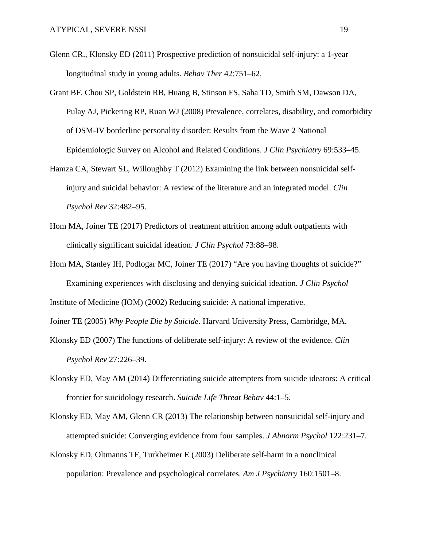- Glenn CR., Klonsky ED (2011) Prospective prediction of nonsuicidal self-injury: a 1-year longitudinal study in young adults. *Behav Ther* 42:751–62.
- Grant BF, Chou SP, Goldstein RB, Huang B, Stinson FS, Saha TD, Smith SM, Dawson DA, Pulay AJ, Pickering RP, Ruan WJ (2008) Prevalence, correlates, disability, and comorbidity of DSM-IV borderline personality disorder: Results from the Wave 2 National Epidemiologic Survey on Alcohol and Related Conditions. *J Clin Psychiatry* 69:533–45.
- Hamza CA, Stewart SL, Willoughby T (2012) Examining the link between nonsuicidal selfinjury and suicidal behavior: A review of the literature and an integrated model. *Clin Psychol Rev* 32:482–95.
- Hom MA, Joiner TE (2017) Predictors of treatment attrition among adult outpatients with clinically significant suicidal ideation. *J Clin Psychol* 73:88–98.
- Hom MA, Stanley IH, Podlogar MC, Joiner TE (2017) "Are you having thoughts of suicide?" Examining experiences with disclosing and denying suicidal ideation. *J Clin Psychol* Institute of Medicine (IOM) (2002) Reducing suicide: A national imperative.

Joiner TE (2005) *Why People Die by Suicide.* Harvard University Press, Cambridge, MA.

- Klonsky ED (2007) The functions of deliberate self-injury: A review of the evidence. *Clin Psychol Rev* 27:226–39.
- Klonsky ED, May AM (2014) Differentiating suicide attempters from suicide ideators: A critical frontier for suicidology research. *Suicide Life Threat Behav* 44:1–5.
- Klonsky ED, May AM, Glenn CR (2013) The relationship between nonsuicidal self-injury and attempted suicide: Converging evidence from four samples. *J Abnorm Psychol* 122:231–7.
- Klonsky ED, Oltmanns TF, Turkheimer E (2003) Deliberate self-harm in a nonclinical population: Prevalence and psychological correlates. *Am J Psychiatry* 160:1501–8.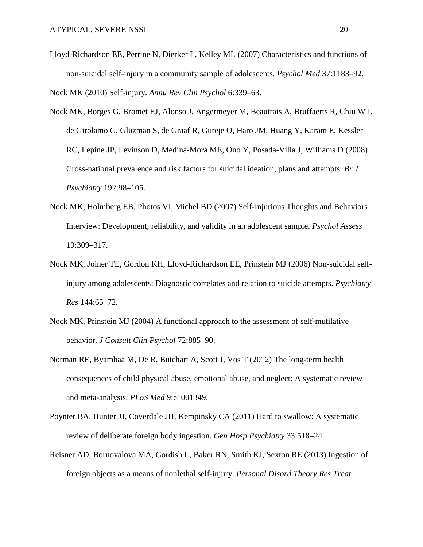- Lloyd-Richardson EE, Perrine N, Dierker L, Kelley ML (2007) Characteristics and functions of non-suicidal self-injury in a community sample of adolescents. *Psychol Med* 37:1183–92. Nock MK (2010) Self-injury. *Annu Rev Clin Psychol* 6:339–63.
- Nock MK, Borges G, Bromet EJ, Alonso J, Angermeyer M, Beautrais A, Bruffaerts R, Chiu WT, de Girolamo G, Gluzman S, de Graaf R, Gureje O, Haro JM, Huang Y, Karam E, Kessler RC, Lepine JP, Levinson D, Medina-Mora ME, Ono Y, Posada-Villa J, Williams D (2008) Cross-national prevalence and risk factors for suicidal ideation, plans and attempts. *Br J Psychiatry* 192:98–105.
- Nock MK, Holmberg EB, Photos VI, Michel BD (2007) Self-Injurious Thoughts and Behaviors Interview: Development, reliability, and validity in an adolescent sample. *Psychol Assess* 19:309–317.
- Nock MK, Joiner TE, Gordon KH, Lloyd-Richardson EE, Prinstein MJ (2006) Non-suicidal selfinjury among adolescents: Diagnostic correlates and relation to suicide attempts. *Psychiatry Res* 144:65–72.
- Nock MK, Prinstein MJ (2004) A functional approach to the assessment of self-mutilative behavior. *J Consult Clin Psychol* 72:885–90.
- Norman RE, Byambaa M, De R, Butchart A, Scott J, Vos T (2012) The long-term health consequences of child physical abuse, emotional abuse, and neglect: A systematic review and meta-analysis. *PLoS Med* 9:e1001349.
- Poynter BA, Hunter JJ, Coverdale JH, Kempinsky CA (2011) Hard to swallow: A systematic review of deliberate foreign body ingestion. *Gen Hosp Psychiatry* 33:518–24.
- Reisner AD, Bornovalova MA, Gordish L, Baker RN, Smith KJ, Sexton RE (2013) Ingestion of foreign objects as a means of nonlethal self-injury. *Personal Disord Theory Res Treat*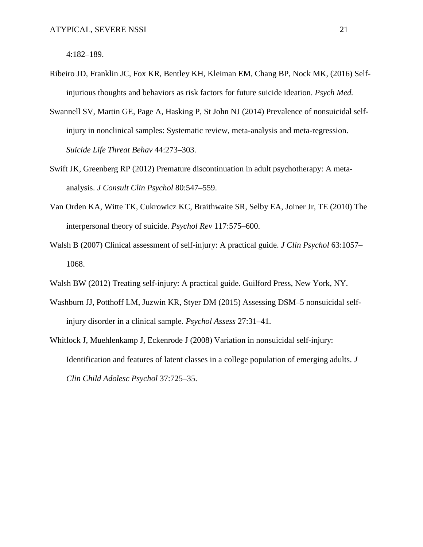4:182–189.

- Ribeiro JD, Franklin JC, Fox KR, Bentley KH, Kleiman EM, Chang BP, Nock MK, (2016) Selfinjurious thoughts and behaviors as risk factors for future suicide ideation. *Psych Med.*
- Swannell SV, Martin GE, Page A, Hasking P, St John NJ (2014) Prevalence of nonsuicidal selfinjury in nonclinical samples: Systematic review, meta-analysis and meta-regression. *Suicide Life Threat Behav* 44:273–303.
- Swift JK, Greenberg RP (2012) Premature discontinuation in adult psychotherapy: A metaanalysis. *J Consult Clin Psychol* 80:547–559.
- Van Orden KA, Witte TK, Cukrowicz KC, Braithwaite SR, Selby EA, Joiner Jr, TE (2010) The interpersonal theory of suicide. *Psychol Rev* 117:575–600.
- Walsh B (2007) Clinical assessment of self-injury: A practical guide. *J Clin Psychol* 63:1057– 1068.
- Walsh BW (2012) Treating self-injury: A practical guide. Guilford Press, New York, NY.
- Washburn JJ, Potthoff LM, Juzwin KR, Styer DM (2015) Assessing DSM–5 nonsuicidal selfinjury disorder in a clinical sample. *Psychol Assess* 27:31–41.
- Whitlock J, Muehlenkamp J, Eckenrode J (2008) Variation in nonsuicidal self-injury: Identification and features of latent classes in a college population of emerging adults. *J Clin Child Adolesc Psychol* 37:725–35.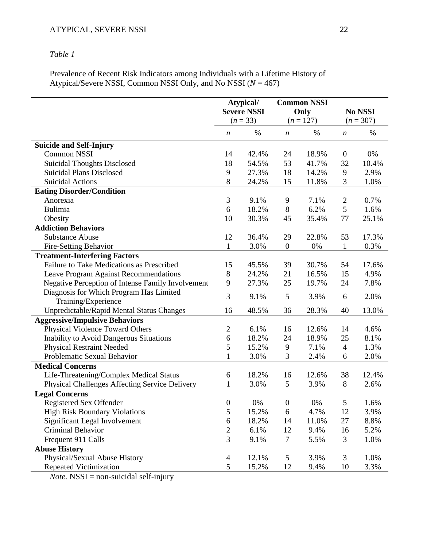## *Table 1*

Prevalence of Recent Risk Indicators among Individuals with a Lifetime History of Atypical/Severe NSSI, Common NSSI Only, and No NSSI (*N* = 467)

|                                                   | Atypical/<br><b>Severe NSSI</b><br>$(n = 33)$ |       | <b>Common NSSI</b><br>Only<br>$(n = 127)$ |       |                        |       |
|---------------------------------------------------|-----------------------------------------------|-------|-------------------------------------------|-------|------------------------|-------|
|                                                   |                                               |       |                                           |       | No NSSI<br>$(n = 307)$ |       |
|                                                   |                                               |       |                                           |       |                        |       |
|                                                   | $\boldsymbol{n}$                              | $\%$  | $\boldsymbol{n}$                          | %     | $\boldsymbol{n}$       | %     |
| <b>Suicide and Self-Injury</b>                    |                                               |       |                                           |       |                        |       |
| <b>Common NSSI</b>                                | 14                                            | 42.4% | 24                                        | 18.9% | $\boldsymbol{0}$       | 0%    |
| <b>Suicidal Thoughts Disclosed</b>                | 18                                            | 54.5% | 53                                        | 41.7% | 32                     | 10.4% |
| <b>Suicidal Plans Disclosed</b>                   | 9                                             | 27.3% | 18                                        | 14.2% | 9                      | 2.9%  |
| <b>Suicidal Actions</b>                           | 8                                             | 24.2% | 15                                        | 11.8% | 3                      | 1.0%  |
| <b>Eating Disorder/Condition</b>                  |                                               |       |                                           |       |                        |       |
| Anorexia                                          | 3                                             | 9.1%  | 9                                         | 7.1%  | $\overline{c}$         | 0.7%  |
| <b>Bulimia</b>                                    | 6                                             | 18.2% | 8                                         | 6.2%  | 5                      | 1.6%  |
| Obesity                                           | 10                                            | 30.3% | 45                                        | 35.4% | 77                     | 25.1% |
| <b>Addiction Behaviors</b>                        |                                               |       |                                           |       |                        |       |
| <b>Substance Abuse</b>                            | 12                                            | 36.4% | 29                                        | 22.8% | 53                     | 17.3% |
| Fire-Setting Behavior                             | $\mathbf{1}$                                  | 3.0%  | $\boldsymbol{0}$                          | 0%    | $\mathbf{1}$           | 0.3%  |
| <b>Treatment-Interfering Factors</b>              |                                               |       |                                           |       |                        |       |
| Failure to Take Medications as Prescribed         | 15                                            | 45.5% | 39                                        | 30.7% | 54                     | 17.6% |
| Leave Program Against Recommendations             | 8                                             | 24.2% | 21                                        | 16.5% | 15                     | 4.9%  |
| Negative Perception of Intense Family Involvement | 9                                             | 27.3% | 25                                        | 19.7% | 24                     | 7.8%  |
| Diagnosis for Which Program Has Limited           |                                               |       |                                           |       |                        | 2.0%  |
| Training/Experience                               | 3                                             | 9.1%  | 5                                         | 3.9%  | 6                      |       |
| Unpredictable/Rapid Mental Status Changes         | 16                                            | 48.5% | 36                                        | 28.3% | 40                     | 13.0% |
| <b>Aggressive/Impulsive Behaviors</b>             |                                               |       |                                           |       |                        |       |
| <b>Physical Violence Toward Others</b>            | $\overline{c}$                                | 6.1%  | 16                                        | 12.6% | 14                     | 4.6%  |
| <b>Inability to Avoid Dangerous Situations</b>    | 6                                             | 18.2% | 24                                        | 18.9% | 25                     | 8.1%  |
| <b>Physical Restraint Needed</b>                  | 5                                             | 15.2% | 9                                         | 7.1%  | $\overline{4}$         | 1.3%  |
| Problematic Sexual Behavior                       | $\mathbf 1$                                   | 3.0%  | 3                                         | 2.4%  | 6                      | 2.0%  |
| <b>Medical Concerns</b>                           |                                               |       |                                           |       |                        |       |
| Life-Threatening/Complex Medical Status           | 6                                             | 18.2% | 16                                        | 12.6% | 38                     | 12.4% |
| Physical Challenges Affecting Service Delivery    | 1                                             | 3.0%  | 5                                         | 3.9%  | 8                      | 2.6%  |
| <b>Legal Concerns</b>                             |                                               |       |                                           |       |                        |       |
| <b>Registered Sex Offender</b>                    | $\boldsymbol{0}$                              | 0%    | $\boldsymbol{0}$                          | 0%    | 5                      | 1.6%  |
| <b>High Risk Boundary Violations</b>              | 5                                             | 15.2% | 6                                         | 4.7%  | 12                     | 3.9%  |
| Significant Legal Involvement                     | 6                                             | 18.2% | 14                                        | 11.0% | 27                     | 8.8%  |
| Criminal Behavior                                 | $\mathbf{2}$                                  | 6.1%  | 12                                        | 9.4%  | 16                     | 5.2%  |
| Frequent 911 Calls                                | 3                                             | 9.1%  | 7                                         | 5.5%  | 3                      | 1.0%  |
| <b>Abuse History</b>                              |                                               |       |                                           |       |                        |       |
| Physical/Sexual Abuse History                     | $\overline{4}$                                | 12.1% | 5                                         | 3.9%  | 3                      | 1.0%  |
| <b>Repeated Victimization</b>                     | 5                                             | 15.2% | 12                                        | 9.4%  | 10                     | 3.3%  |

*Note.* NSSI = non-suicidal self-injury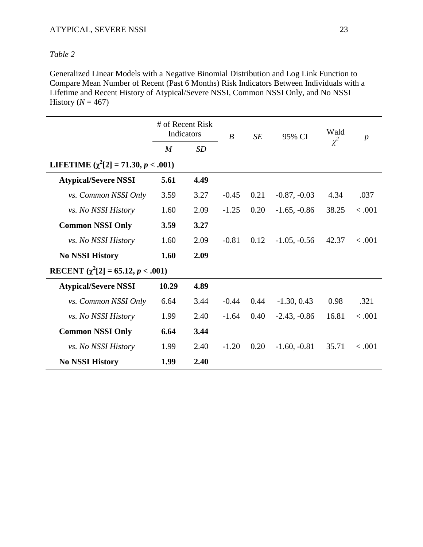### ATYPICAL, SEVERE NSSI 23

### *Table 2*

Generalized Linear Models with a Negative Binomial Distribution and Log Link Function to Compare Mean Number of Recent (Past 6 Months) Risk Indicators Between Individuals with a Lifetime and Recent History of Atypical/Severe NSSI, Common NSSI Only, and No NSSI History ( $N = 467$ )

|                                          | # of Recent Risk<br>Indicators |      | $\boldsymbol{B}$ | SE   | 95% CI         | Wald<br>$\chi^2$ | $\boldsymbol{p}$ |  |  |
|------------------------------------------|--------------------------------|------|------------------|------|----------------|------------------|------------------|--|--|
|                                          | M                              | SD   |                  |      |                |                  |                  |  |  |
| LIFETIME $(\chi^2[2] = 71.30, p < .001)$ |                                |      |                  |      |                |                  |                  |  |  |
| <b>Atypical/Severe NSSI</b>              | 5.61                           | 4.49 |                  |      |                |                  |                  |  |  |
| <i>vs.</i> Common NSSI Only              | 3.59                           | 3.27 | $-0.45$          | 0.21 | $-0.87, -0.03$ | 4.34             | .037             |  |  |
| <i>vs. No NSSI History</i>               | 1.60                           | 2.09 | $-1.25$          | 0.20 | $-1.65, -0.86$ | 38.25            | < .001           |  |  |
| <b>Common NSSI Only</b>                  | 3.59                           | 3.27 |                  |      |                |                  |                  |  |  |
| <i>vs. No NSSI History</i>               | 1.60                           | 2.09 | $-0.81$          | 0.12 | $-1.05, -0.56$ | 42.37            | < .001           |  |  |
| <b>No NSSI History</b>                   | 1.60                           | 2.09 |                  |      |                |                  |                  |  |  |
| RECENT $(\chi^2[2] = 65.12, p < .001)$   |                                |      |                  |      |                |                  |                  |  |  |
| <b>Atypical/Severe NSSI</b>              | 10.29                          | 4.89 |                  |      |                |                  |                  |  |  |
| <i>vs. Common NSSI Only</i>              | 6.64                           | 3.44 | $-0.44$          | 0.44 | $-1.30, 0.43$  | 0.98             | .321             |  |  |
| <i>vs. No NSSI History</i>               | 1.99                           | 2.40 | $-1.64$          | 0.40 | $-2.43, -0.86$ | 16.81            | < .001           |  |  |
| <b>Common NSSI Only</b>                  | 6.64                           | 3.44 |                  |      |                |                  |                  |  |  |
| <i>vs. No NSSI History</i>               | 1.99                           | 2.40 | $-1.20$          | 0.20 | $-1.60, -0.81$ | 35.71            | < .001           |  |  |
| <b>No NSSI History</b>                   | 1.99                           | 2.40 |                  |      |                |                  |                  |  |  |